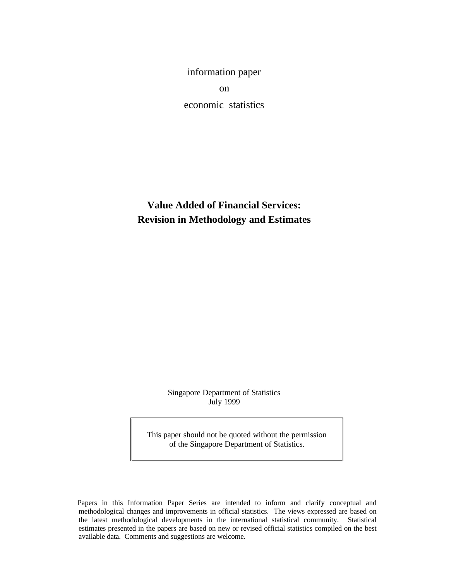information paper on economic statistics

**Value Added of Financial Services: Revision in Methodology and Estimates**

> Singapore Department of Statistics July 1999

This paper should not be quoted without the permission of the Singapore Department of Statistics.

 Papers in this Information Paper Series are intended to inform and clarify conceptual and methodological changes and improvements in official statistics. The views expressed are based on the latest methodological developments in the international statistical community. Statistical estimates presented in the papers are based on new or revised official statistics compiled on the best available data. Comments and suggestions are welcome.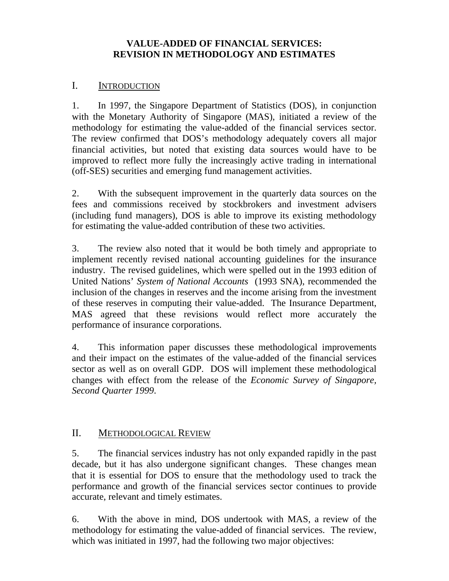## **VALUE-ADDED OF FINANCIAL SERVICES: REVISION IN METHODOLOGY AND ESTIMATES**

### I. INTRODUCTION

1. In 1997, the Singapore Department of Statistics (DOS), in conjunction with the Monetary Authority of Singapore (MAS), initiated a review of the methodology for estimating the value-added of the financial services sector. The review confirmed that DOS's methodology adequately covers all major financial activities, but noted that existing data sources would have to be improved to reflect more fully the increasingly active trading in international (off-SES) securities and emerging fund management activities.

2. With the subsequent improvement in the quarterly data sources on the fees and commissions received by stockbrokers and investment advisers (including fund managers), DOS is able to improve its existing methodology for estimating the value-added contribution of these two activities.

3. The review also noted that it would be both timely and appropriate to implement recently revised national accounting guidelines for the insurance industry. The revised guidelines, which were spelled out in the 1993 edition of United Nations' *System of National Accounts* (1993 SNA), recommended the inclusion of the changes in reserves and the income arising from the investment of these reserves in computing their value-added. The Insurance Department, MAS agreed that these revisions would reflect more accurately the performance of insurance corporations.

4. This information paper discusses these methodological improvements and their impact on the estimates of the value-added of the financial services sector as well as on overall GDP. DOS will implement these methodological changes with effect from the release of the *Economic Survey of Singapore, Second Quarter 1999*.

# II. METHODOLOGICAL REVIEW

5. The financial services industry has not only expanded rapidly in the past decade, but it has also undergone significant changes. These changes mean that it is essential for DOS to ensure that the methodology used to track the performance and growth of the financial services sector continues to provide accurate, relevant and timely estimates.

6. With the above in mind, DOS undertook with MAS, a review of the methodology for estimating the value-added of financial services. The review, which was initiated in 1997, had the following two major objectives: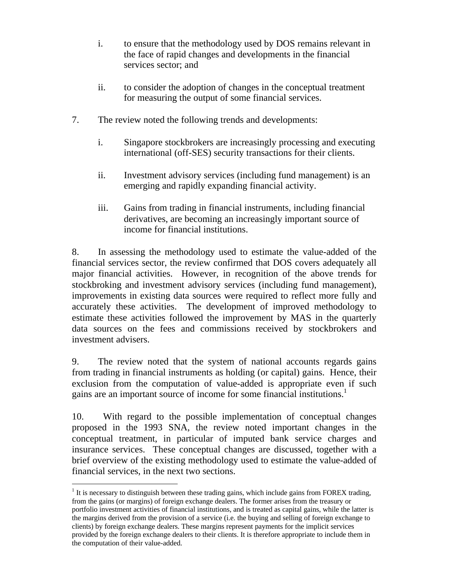- i. to ensure that the methodology used by DOS remains relevant in the face of rapid changes and developments in the financial services sector; and
- ii. to consider the adoption of changes in the conceptual treatment for measuring the output of some financial services.
- 7. The review noted the following trends and developments:
	- i. Singapore stockbrokers are increasingly processing and executing international (off-SES) security transactions for their clients.
	- ii. Investment advisory services (including fund management) is an emerging and rapidly expanding financial activity.
	- iii. Gains from trading in financial instruments, including financial derivatives, are becoming an increasingly important source of income for financial institutions.

8. In assessing the methodology used to estimate the value-added of the financial services sector, the review confirmed that DOS covers adequately all major financial activities. However, in recognition of the above trends for stockbroking and investment advisory services (including fund management), improvements in existing data sources were required to reflect more fully and accurately these activities. The development of improved methodology to estimate these activities followed the improvement by MAS in the quarterly data sources on the fees and commissions received by stockbrokers and investment advisers.

9. The review noted that the system of national accounts regards gains from trading in financial instruments as holding (or capital) gains. Hence, their exclusion from the computation of value-added is appropriate even if such gains are an important source of income for some financial institutions.<sup>1</sup>

10. With regard to the possible implementation of conceptual changes proposed in the 1993 SNA, the review noted important changes in the conceptual treatment, in particular of imputed bank service charges and insurance services. These conceptual changes are discussed, together with a brief overview of the existing methodology used to estimate the value-added of financial services, in the next two sections.

 $\overline{a}$  $1$  It is necessary to distinguish between these trading gains, which include gains from FOREX trading, from the gains (or margins) of foreign exchange dealers. The former arises from the treasury or portfolio investment activities of financial institutions, and is treated as capital gains, while the latter is the margins derived from the provision of a service (i.e. the buying and selling of foreign exchange to clients) by foreign exchange dealers. These margins represent payments for the implicit services provided by the foreign exchange dealers to their clients. It is therefore appropriate to include them in the computation of their value-added.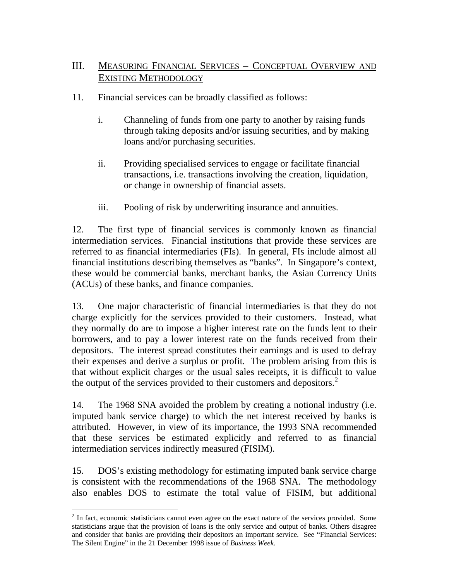# III. MEASURING FINANCIAL SERVICES – CONCEPTUAL OVERVIEW AND EXISTING METHODOLOGY

- 11. Financial services can be broadly classified as follows:
	- i. Channeling of funds from one party to another by raising funds through taking deposits and/or issuing securities, and by making loans and/or purchasing securities.
	- ii. Providing specialised services to engage or facilitate financial transactions, i.e. transactions involving the creation, liquidation, or change in ownership of financial assets.
	- iii. Pooling of risk by underwriting insurance and annuities.

12. The first type of financial services is commonly known as financial intermediation services. Financial institutions that provide these services are referred to as financial intermediaries (FIs). In general, FIs include almost all financial institutions describing themselves as "banks". In Singapore's context, these would be commercial banks, merchant banks, the Asian Currency Units (ACUs) of these banks, and finance companies.

13. One major characteristic of financial intermediaries is that they do not charge explicitly for the services provided to their customers. Instead, what they normally do are to impose a higher interest rate on the funds lent to their borrowers, and to pay a lower interest rate on the funds received from their depositors. The interest spread constitutes their earnings and is used to defray their expenses and derive a surplus or profit. The problem arising from this is that without explicit charges or the usual sales receipts, it is difficult to value the output of the services provided to their customers and depositors. 2

14. The 1968 SNA avoided the problem by creating a notional industry (i.e. imputed bank service charge) to which the net interest received by banks is attributed. However, in view of its importance, the 1993 SNA recommended that these services be estimated explicitly and referred to as financial intermediation services indirectly measured (FISIM).

15. DOS's existing methodology for estimating imputed bank service charge is consistent with the recommendations of the 1968 SNA. The methodology also enables DOS to estimate the total value of FISIM, but additional

-

 $2$  In fact, economic statisticians cannot even agree on the exact nature of the services provided. Some statisticians argue that the provision of loans is the only service and output of banks. Others disagree and consider that banks are providing their depositors an important service. See "Financial Services: The Silent Engine" in the 21 December 1998 issue of *Business Week*.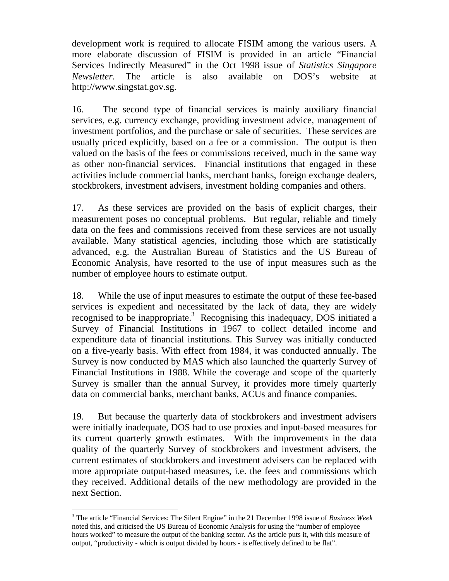development work is required to allocate FISIM among the various users. A more elaborate discussion of FISIM is provided in an article "Financial Services Indirectly Measured" in the Oct 1998 issue of *Statistics Singapore Newsletter*. The article is also available on DOS's website at http://www.singstat.gov.sg.

16. The second type of financial services is mainly auxiliary financial services, e.g. currency exchange, providing investment advice, management of investment portfolios, and the purchase or sale of securities. These services are usually priced explicitly, based on a fee or a commission. The output is then valued on the basis of the fees or commissions received, much in the same way as other non-financial services. Financial institutions that engaged in these activities include commercial banks, merchant banks, foreign exchange dealers, stockbrokers, investment advisers, investment holding companies and others.

17. As these services are provided on the basis of explicit charges, their measurement poses no conceptual problems. But regular, reliable and timely data on the fees and commissions received from these services are not usually available. Many statistical agencies, including those which are statistically advanced, e.g. the Australian Bureau of Statistics and the US Bureau of Economic Analysis, have resorted to the use of input measures such as the number of employee hours to estimate output.

18. While the use of input measures to estimate the output of these fee-based services is expedient and necessitated by the lack of data, they are widely recognised to be inappropriate.<sup>3</sup> Recognising this inadequacy, DOS initiated a Survey of Financial Institutions in 1967 to collect detailed income and expenditure data of financial institutions. This Survey was initially conducted on a five-yearly basis. With effect from 1984, it was conducted annually. The Survey is now conducted by MAS which also launched the quarterly Survey of Financial Institutions in 1988. While the coverage and scope of the quarterly Survey is smaller than the annual Survey, it provides more timely quarterly data on commercial banks, merchant banks, ACUs and finance companies.

19. But because the quarterly data of stockbrokers and investment advisers were initially inadequate, DOS had to use proxies and input-based measures for its current quarterly growth estimates. With the improvements in the data quality of the quarterly Survey of stockbrokers and investment advisers, the current estimates of stockbrokers and investment advisers can be replaced with more appropriate output-based measures, i.e. the fees and commissions which they received. Additional details of the new methodology are provided in the next Section.

<sup>-</sup>3 The article "Financial Services: The Silent Engine" in the 21 December 1998 issue of *Business Week* noted this, and criticised the US Bureau of Economic Analysis for using the "number of employee hours worked" to measure the output of the banking sector. As the article puts it, with this measure of output, "productivity - which is output divided by hours - is effectively defined to be flat".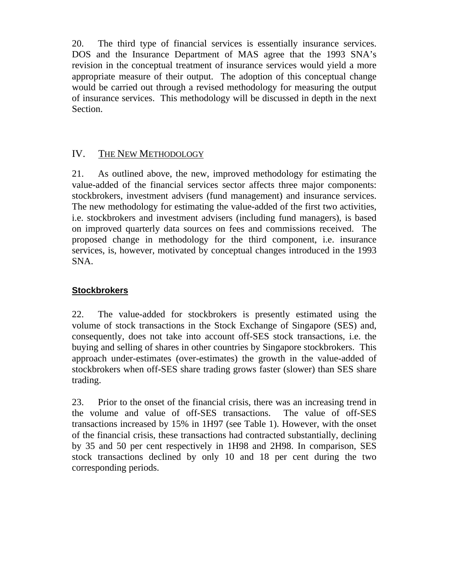20. The third type of financial services is essentially insurance services. DOS and the Insurance Department of MAS agree that the 1993 SNA's revision in the conceptual treatment of insurance services would yield a more appropriate measure of their output. The adoption of this conceptual change would be carried out through a revised methodology for measuring the output of insurance services. This methodology will be discussed in depth in the next Section.

# IV. THE NEW METHODOLOGY

21. As outlined above, the new, improved methodology for estimating the value-added of the financial services sector affects three major components: stockbrokers, investment advisers (fund management) and insurance services. The new methodology for estimating the value-added of the first two activities, i.e. stockbrokers and investment advisers (including fund managers), is based on improved quarterly data sources on fees and commissions received. The proposed change in methodology for the third component, i.e. insurance services, is, however, motivated by conceptual changes introduced in the 1993 SNA.

## **Stockbrokers**

22. The value-added for stockbrokers is presently estimated using the volume of stock transactions in the Stock Exchange of Singapore (SES) and, consequently, does not take into account off-SES stock transactions, i.e. the buying and selling of shares in other countries by Singapore stockbrokers. This approach under-estimates (over-estimates) the growth in the value-added of stockbrokers when off-SES share trading grows faster (slower) than SES share trading.

23. Prior to the onset of the financial crisis, there was an increasing trend in the volume and value of off-SES transactions. The value of off-SES transactions increased by 15% in 1H97 (see Table 1). However, with the onset of the financial crisis, these transactions had contracted substantially, declining by 35 and 50 per cent respectively in 1H98 and 2H98. In comparison, SES stock transactions declined by only 10 and 18 per cent during the two corresponding periods.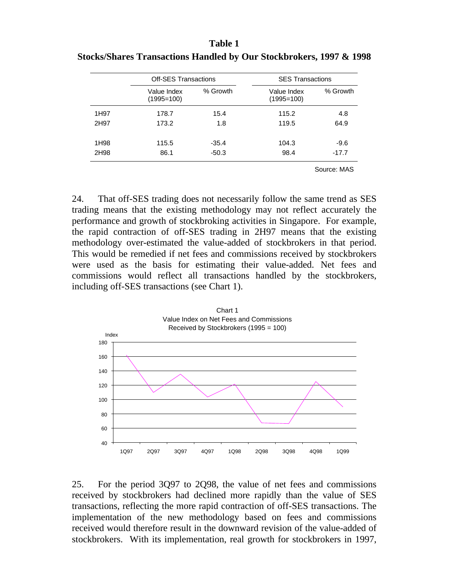| <b>Table 1</b>                                                      |  |
|---------------------------------------------------------------------|--|
| Stocks/Shares Transactions Handled by Our Stockbrokers, 1997 & 1998 |  |

|      | <b>Off-SES Transactions</b> |          | <b>SES Transactions</b>     |             |  |  |  |  |
|------|-----------------------------|----------|-----------------------------|-------------|--|--|--|--|
|      | Value Index<br>$(1995=100)$ | % Growth | Value Index<br>$(1995=100)$ | % Growth    |  |  |  |  |
| 1H97 | 178.7                       | 15.4     | 115.2                       | 4.8         |  |  |  |  |
| 2H97 | 173.2                       | 1.8      | 119.5                       | 64.9        |  |  |  |  |
| 1H98 | 115.5                       | $-35.4$  | 104.3                       | $-9.6$      |  |  |  |  |
| 2H98 | 86.1                        | $-50.3$  | 98.4                        | $-17.7$     |  |  |  |  |
|      |                             |          |                             | Source: MAS |  |  |  |  |

24. That off-SES trading does not necessarily follow the same trend as SES trading means that the existing methodology may not reflect accurately the performance and growth of stockbroking activities in Singapore. For example, the rapid contraction of off-SES trading in 2H97 means that the existing methodology over-estimated the value-added of stockbrokers in that period. This would be remedied if net fees and commissions received by stockbrokers were used as the basis for estimating their value-added. Net fees and commissions would reflect all transactions handled by the stockbrokers, including off-SES transactions (see Chart 1).



25. For the period 3Q97 to 2Q98, the value of net fees and commissions received by stockbrokers had declined more rapidly than the value of SES transactions, reflecting the more rapid contraction of off-SES transactions. The implementation of the new methodology based on fees and commissions received would therefore result in the downward revision of the value-added of stockbrokers. With its implementation, real growth for stockbrokers in 1997,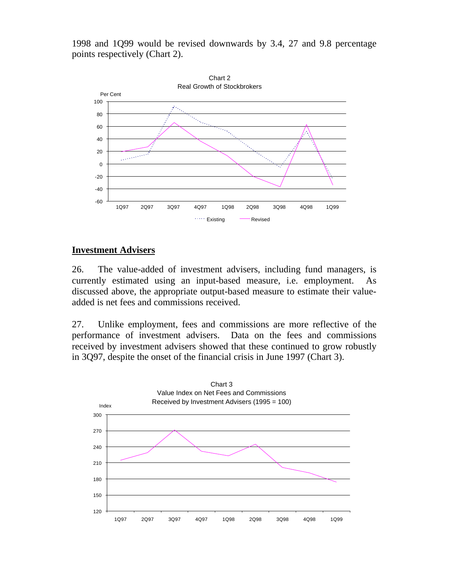1998 and 1Q99 would be revised downwards by 3.4, 27 and 9.8 percentage points respectively (Chart 2).



#### **Investment Advisers**

26. The value-added of investment advisers, including fund managers, is currently estimated using an input-based measure, i.e. employment. As discussed above, the appropriate output-based measure to estimate their valueadded is net fees and commissions received.

27. Unlike employment, fees and commissions are more reflective of the performance of investment advisers. Data on the fees and commissions received by investment advisers showed that these continued to grow robustly in 3Q97, despite the onset of the financial crisis in June 1997 (Chart 3).

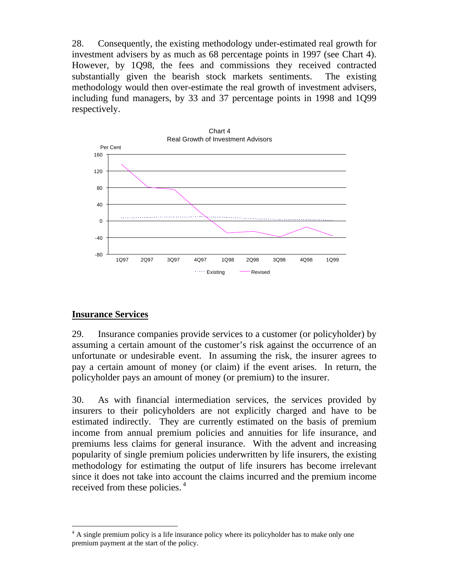28. Consequently, the existing methodology under-estimated real growth for investment advisers by as much as 68 percentage points in 1997 (see Chart 4). However, by 1Q98, the fees and commissions they received contracted substantially given the bearish stock markets sentiments. The existing methodology would then over-estimate the real growth of investment advisers, including fund managers, by 33 and 37 percentage points in 1998 and 1Q99 respectively.



### **Insurance Services**

29. Insurance companies provide services to a customer (or policyholder) by assuming a certain amount of the customer's risk against the occurrence of an unfortunate or undesirable event. In assuming the risk, the insurer agrees to pay a certain amount of money (or claim) if the event arises. In return, the policyholder pays an amount of money (or premium) to the insurer.

30. As with financial intermediation services, the services provided by insurers to their policyholders are not explicitly charged and have to be estimated indirectly. They are currently estimated on the basis of premium income from annual premium policies and annuities for life insurance, and premiums less claims for general insurance. With the advent and increasing popularity of single premium policies underwritten by life insurers, the existing methodology for estimating the output of life insurers has become irrelevant since it does not take into account the claims incurred and the premium income received from these policies.<sup>4</sup>

 $\overline{a}$ <sup>4</sup> A single premium policy is a life insurance policy where its policyholder has to make only one premium payment at the start of the policy.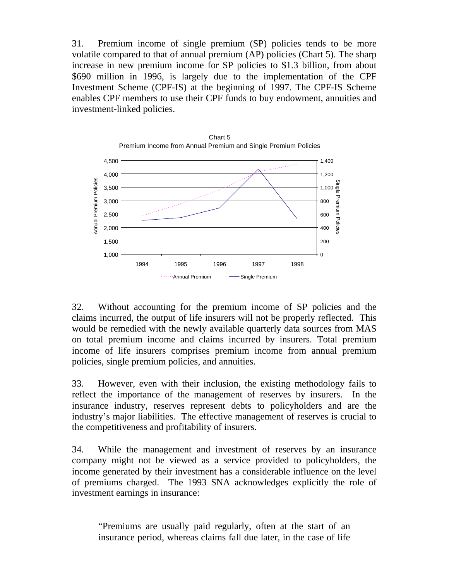31. Premium income of single premium (SP) policies tends to be more volatile compared to that of annual premium (AP) policies (Chart 5). The sharp increase in new premium income for SP policies to \$1.3 billion, from about \$690 million in 1996, is largely due to the implementation of the CPF Investment Scheme (CPF-IS) at the beginning of 1997. The CPF-IS Scheme enables CPF members to use their CPF funds to buy endowment, annuities and investment-linked policies.



Chart 5

32. Without accounting for the premium income of SP policies and the claims incurred, the output of life insurers will not be properly reflected. This would be remedied with the newly available quarterly data sources from MAS on total premium income and claims incurred by insurers. Total premium income of life insurers comprises premium income from annual premium policies, single premium policies, and annuities.

33. However, even with their inclusion, the existing methodology fails to reflect the importance of the management of reserves by insurers. In the insurance industry, reserves represent debts to policyholders and are the industry's major liabilities. The effective management of reserves is crucial to the competitiveness and profitability of insurers.

34. While the management and investment of reserves by an insurance company might not be viewed as a service provided to policyholders, the income generated by their investment has a considerable influence on the level of premiums charged. The 1993 SNA acknowledges explicitly the role of investment earnings in insurance:

"Premiums are usually paid regularly, often at the start of an insurance period, whereas claims fall due later, in the case of life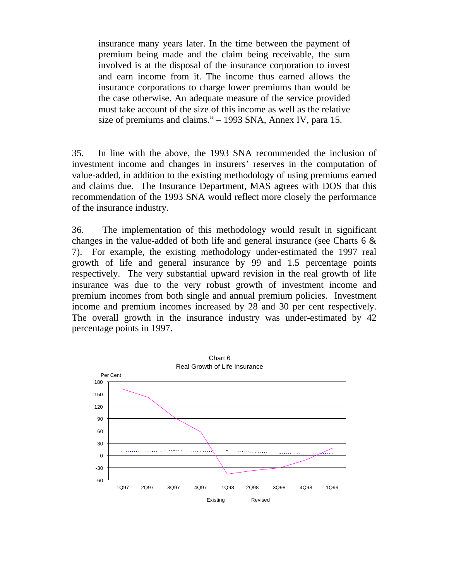insurance many years later. In the time between the payment of premium being made and the claim being receivable, the sum involved is at the disposal of the insurance corporation to invest and earn income from it. The income thus earned allows the insurance corporations to charge lower premiums than would be the case otherwise. An adequate measure of the service provided must take account of the size of this income as well as the relative size of premiums and claims." – 1993 SNA, Annex IV, para 15.

35. In line with the above, the 1993 SNA recommended the inclusion of investment income and changes in insurers' reserves in the computation of value-added, in addition to the existing methodology of using premiums earned and claims due. The Insurance Department, MAS agrees with DOS that this recommendation of the 1993 SNA would reflect more closely the performance of the insurance industry.

36. The implementation of this methodology would result in significant changes in the value-added of both life and general insurance (see Charts 6 & 7). For example, the existing methodology under-estimated the 1997 real growth of life and general insurance by 99 and 1.5 percentage points respectively. The very substantial upward revision in the real growth of life insurance was due to the very robust growth of investment income and premium incomes from both single and annual premium policies. Investment income and premium incomes increased by 28 and 30 per cent respectively. The overall growth in the insurance industry was under-estimated by 42 percentage points in 1997.

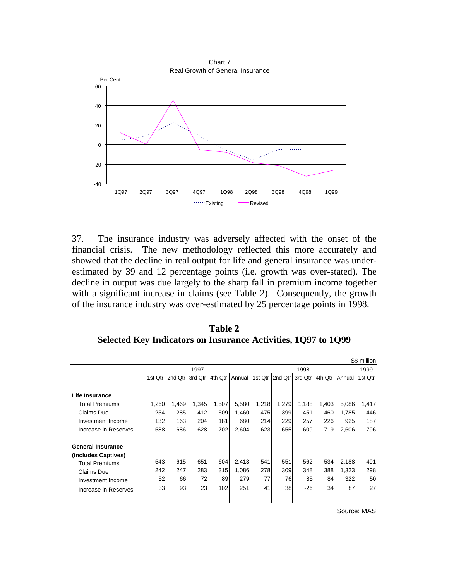

37. The insurance industry was adversely affected with the onset of the financial crisis. The new methodology reflected this more accurately and showed that the decline in real output for life and general insurance was underestimated by 39 and 12 percentage points (i.e. growth was over-stated). The decline in output was due largely to the sharp fall in premium income together with a significant increase in claims (see Table 2). Consequently, the growth of the insurance industry was over-estimated by 25 percentage points in 1998.

**Table 2 Selected Key Indicators on Insurance Activities, 1Q97 to 1Q99**

|                          |                                                    |       |       |         |         |         |         |        | S\$ million |       |       |
|--------------------------|----------------------------------------------------|-------|-------|---------|---------|---------|---------|--------|-------------|-------|-------|
|                          | 1997                                               |       |       |         | 1998    |         |         |        | 1999        |       |       |
|                          | 1st Qtr<br>2nd Qtr<br>3rd Qtr<br>4th Qtr<br>Annual |       |       | 1st Qtr | 2nd Qtr | 3rd Qtr | 4th Qtr | Annual | 1st Qtr     |       |       |
|                          |                                                    |       |       |         |         |         |         |        |             |       |       |
| Life Insurance           |                                                    |       |       |         |         |         |         |        |             |       |       |
| <b>Total Premiums</b>    | 1,260                                              | 1,469 | 1,345 | 1,507   | 5,580   | 1,218   | 1,279   | 1,188  | 1,403       | 5,086 | 1,417 |
| Claims Due               | 254                                                | 285   | 412   | 509     | 1.460   | 475     | 399     | 451    | 460         | 1,785 | 446   |
| Investment Income        | 132                                                | 163   | 204   | 181     | 680     | 214     | 229     | 257    | 226         | 925   | 187   |
| Increase in Reserves     | 588                                                | 686   | 628   | 702     | 2,604   | 623     | 655     | 609    | 719         | 2,606 | 796   |
| <b>General Insurance</b> |                                                    |       |       |         |         |         |         |        |             |       |       |
| (includes Captives)      |                                                    |       |       |         |         |         |         |        |             |       |       |
| <b>Total Premiums</b>    | 543                                                | 615   | 651   | 604     | 2,413   | 541     | 551     | 562    | 534         | 2,188 | 491   |
| Claims Due               | 242                                                | 247   | 283   | 315     | 1,086   | 278     | 309     | 348    | 388         | 1,323 | 298   |
| Investment Income        | 52                                                 | 66    | 72    | 89      | 279     | 77      | 76      | 85     | 84          | 322   | 50    |
| Increase in Reserves     | 33                                                 | 93    | 23    | 102     | 251     | 41      | 38      | $-26$  | 34          | 87    | 27    |
|                          |                                                    |       |       |         |         |         |         |        |             |       |       |

Source: MAS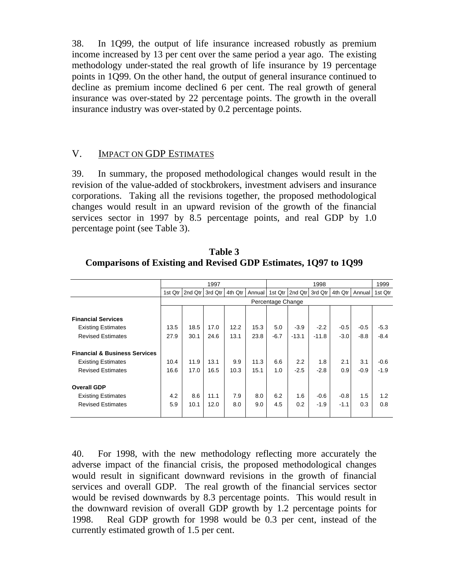38. In 1Q99, the output of life insurance increased robustly as premium income increased by 13 per cent over the same period a year ago. The existing methodology under-stated the real growth of life insurance by 19 percentage points in 1Q99. On the other hand, the output of general insurance continued to decline as premium income declined 6 per cent. The real growth of general insurance was over-stated by 22 percentage points. The growth in the overall insurance industry was over-stated by 0.2 percentage points.

### V. IMPACT ON GDP ESTIMATES

39. In summary, the proposed methodological changes would result in the revision of the value-added of stockbrokers, investment advisers and insurance corporations. Taking all the revisions together, the proposed methodological changes would result in an upward revision of the growth of the financial services sector in 1997 by 8.5 percentage points, and real GDP by 1.0 percentage point (see Table 3).

|                                          | 1997      |                   |         |         | 1998   |         |         |         | 1999    |        |         |
|------------------------------------------|-----------|-------------------|---------|---------|--------|---------|---------|---------|---------|--------|---------|
|                                          | 1st $Qtr$ | 2nd Qtr           | 3rd Qtr | 4th Qtr | Annual | 1st Qtr | 2nd Qtr | 3rd Qtr | 4th Qtr | Annual | 1st Qtr |
|                                          |           | Percentage Change |         |         |        |         |         |         |         |        |         |
|                                          |           |                   |         |         |        |         |         |         |         |        |         |
| <b>Financial Services</b>                |           |                   |         |         |        |         |         |         |         |        |         |
| <b>Existing Estimates</b>                | 13.5      | 18.5              | 17.0    | 12.2    | 15.3   | 5.0     | $-3.9$  | $-2.2$  | $-0.5$  | $-0.5$ | $-5.3$  |
| <b>Revised Estimates</b>                 | 27.9      | 30.1              | 24.6    | 13.1    | 23.8   | $-6.7$  | $-13.1$ | $-11.8$ | $-3.0$  | $-8.8$ | $-8.4$  |
|                                          |           |                   |         |         |        |         |         |         |         |        |         |
| <b>Financial &amp; Business Services</b> |           |                   |         |         |        |         |         |         |         |        |         |
| <b>Existing Estimates</b>                | 10.4      | 11.9              | 13.1    | 9.9     | 11.3   | 6.6     | 2.2     | 1.8     | 2.1     | 3.1    | $-0.6$  |
| <b>Revised Estimates</b>                 | 16.6      | 17.0              | 16.5    | 10.3    | 15.1   | 1.0     | $-2.5$  | $-2.8$  | 0.9     | $-0.9$ | $-1.9$  |
|                                          |           |                   |         |         |        |         |         |         |         |        |         |
| <b>Overall GDP</b>                       |           |                   |         |         |        |         |         |         |         |        |         |
| <b>Existing Estimates</b>                | 4.2       | 8.6               | 11.1    | 7.9     | 8.0    | 6.2     | 1.6     | $-0.6$  | $-0.8$  | 1.5    | 1.2     |
| <b>Revised Estimates</b>                 | 5.9       | 10.1              | 12.0    | 8.0     | 9.0    | 4.5     | 0.2     | $-1.9$  | $-1.1$  | 0.3    | 0.8     |
|                                          |           |                   |         |         |        |         |         |         |         |        |         |

**Table 3 Comparisons of Existing and Revised GDP Estimates, 1Q97 to 1Q99**

40. For 1998, with the new methodology reflecting more accurately the adverse impact of the financial crisis, the proposed methodological changes would result in significant downward revisions in the growth of financial services and overall GDP. The real growth of the financial services sector would be revised downwards by 8.3 percentage points. This would result in the downward revision of overall GDP growth by 1.2 percentage points for 1998. Real GDP growth for 1998 would be 0.3 per cent, instead of the currently estimated growth of 1.5 per cent.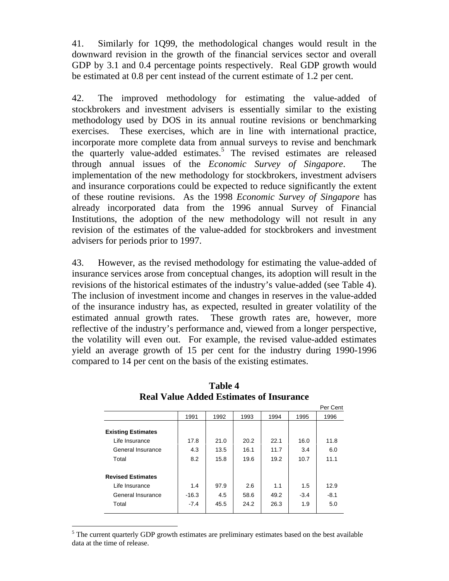41. Similarly for 1Q99, the methodological changes would result in the downward revision in the growth of the financial services sector and overall GDP by 3.1 and 0.4 percentage points respectively. Real GDP growth would be estimated at 0.8 per cent instead of the current estimate of 1.2 per cent.

42. The improved methodology for estimating the value-added of stockbrokers and investment advisers is essentially similar to the existing methodology used by DOS in its annual routine revisions or benchmarking exercises. These exercises, which are in line with international practice, incorporate more complete data from annual surveys to revise and benchmark the quarterly value-added estimates.<sup>5</sup> The revised estimates are released through annual issues of the *Economic Survey of Singapore*. The implementation of the new methodology for stockbrokers, investment advisers and insurance corporations could be expected to reduce significantly the extent of these routine revisions. As the 1998 *Economic Survey of Singapore* has already incorporated data from the 1996 annual Survey of Financial Institutions, the adoption of the new methodology will not result in any revision of the estimates of the value-added for stockbrokers and investment advisers for periods prior to 1997.

43. However, as the revised methodology for estimating the value-added of insurance services arose from conceptual changes, its adoption will result in the revisions of the historical estimates of the industry's value-added (see Table 4). The inclusion of investment income and changes in reserves in the value-added of the insurance industry has, as expected, resulted in greater volatility of the estimated annual growth rates. These growth rates are, however, more reflective of the industry's performance and, viewed from a longer perspective, the volatility will even out. For example, the revised value-added estimates yield an average growth of 15 per cent for the industry during 1990-1996 compared to 14 per cent on the basis of the existing estimates.

|                           |         |      |      |      |        | Per Cent |
|---------------------------|---------|------|------|------|--------|----------|
|                           | 1991    | 1992 | 1993 | 1994 | 1995   | 1996     |
|                           |         |      |      |      |        |          |
| <b>Existing Estimates</b> |         |      |      |      |        |          |
| Life Insurance            | 17.8    | 21.0 | 20.2 | 22.1 | 16.0   | 11.8     |
| General Insurance         | 4.3     | 13.5 | 16.1 | 11.7 | 3.4    | 6.0      |
| Total                     | 8.2     | 15.8 | 19.6 | 19.2 | 10.7   | 11.1     |
| <b>Revised Estimates</b>  |         |      |      |      |        |          |
| Life Insurance            | 1.4     | 97.9 | 2.6  | 1.1  | 1.5    | 12.9     |
| General Insurance         | $-16.3$ | 4.5  | 58.6 | 49.2 | $-3.4$ | $-8.1$   |
| Total                     | $-7.4$  | 45.5 | 24.2 | 26.3 | 1.9    | 5.0      |
|                           |         |      |      |      |        |          |

**Table 4 Real Value Added Estimates of Insurance**

 $\overline{a}$  $<sup>5</sup>$  The current quarterly GDP growth estimates are preliminary estimates based on the best available</sup> data at the time of release.